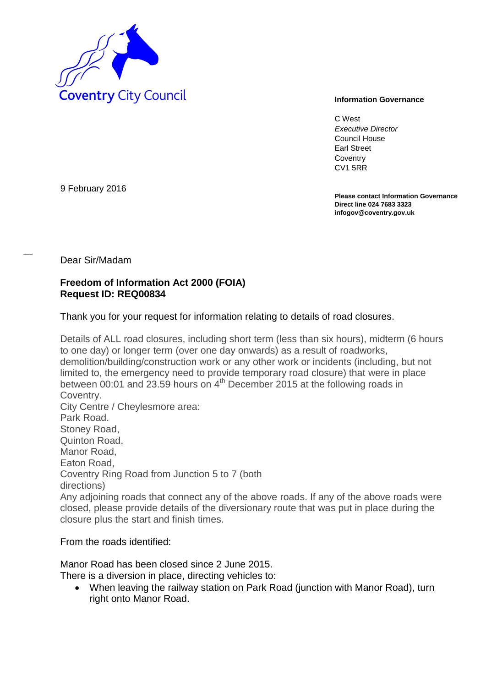

C West *Executive Director* Council House Earl Street **Coventry** CV1 5RR

**Please contact Information Governance Direct line 024 7683 3323 infogov@coventry.gov.uk** 

9 February 2016

Dear Sir/Madam

## **Freedom of Information Act 2000 (FOIA) Request ID: REQ00834**

Thank you for your request for information relating to details of road closures.

Details of ALL road closures, including short term (less than six hours), midterm (6 hours to one day) or longer term (over one day onwards) as a result of roadworks, demolition/building/construction work or any other work or incidents (including, but not limited to, the emergency need to provide temporary road closure) that were in place between 00:01 and 23.59 hours on  $4<sup>th</sup>$  December 2015 at the following roads in Coventry. City Centre / Cheylesmore area: Park Road. Stoney Road, Quinton Road, Manor Road, Eaton Road, Coventry Ring Road from Junction 5 to 7 (both directions) Any adjoining roads that connect any of the above roads. If any of the above roads were closed, please provide details of the diversionary route that was put in place during the closure plus the start and finish times.

From the roads identified:

Manor Road has been closed since 2 June 2015.

There is a diversion in place, directing vehicles to:

 When leaving the railway station on Park Road (junction with Manor Road), turn right onto Manor Road.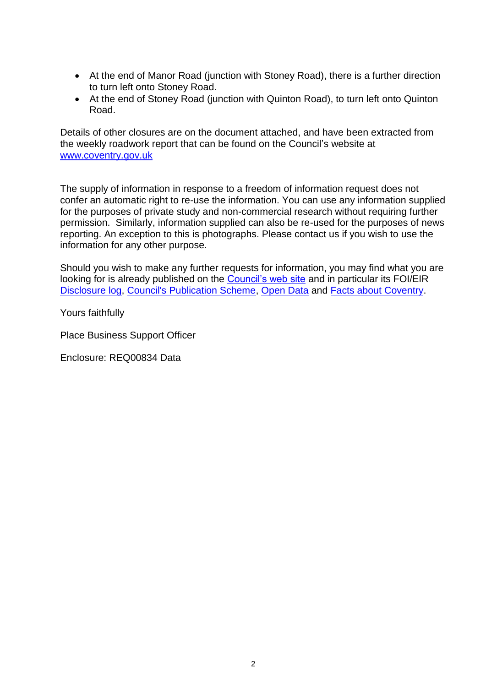- At the end of Manor Road (junction with Stoney Road), there is a further direction to turn left onto Stoney Road.
- At the end of Stoney Road (junction with Quinton Road), to turn left onto Quinton Road.

Details of other closures are on the document attached, and have been extracted from the weekly roadwork report that can be found on the Council's website at [www.coventry.gov.uk](http://www.coventry.gov.uk/)

The supply of information in response to a freedom of information request does not confer an automatic right to re-use the information. You can use any information supplied for the purposes of private study and non-commercial research without requiring further permission. Similarly, information supplied can also be re-used for the purposes of news reporting. An exception to this is photographs. Please contact us if you wish to use the information for any other purpose.

Should you wish to make any further requests for information, you may find what you are looking for is already published on the [Council's web site](http://www.coventry.gov.uk/) and in particular its FOI/EIR [Disclosure log,](http://www.coventry.gov.uk/foieirrequests) [Council's Publication Scheme,](http://www.coventry.gov.uk/publicationscheme) [Open Data](http://www.coventry.gov.uk/opendata) and [Facts about Coventry.](http://www.coventry.gov.uk/factsaboutcoventry)

Yours faithfully

Place Business Support Officer

Enclosure: REQ00834 Data